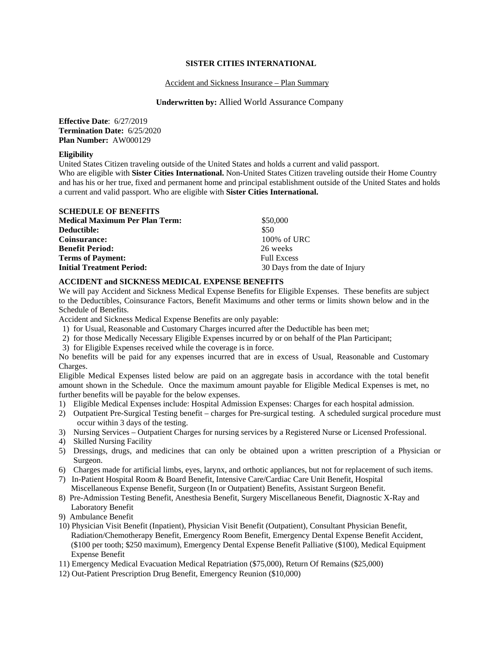### **SISTER CITIES INTERNATIONAL**

### Accident and Sickness Insurance – Plan Summary

# **Underwritten by:** Allied World Assurance Company

**Effective Date**: 6/27/2019 **Termination Date:** 6/25/2020 **Plan Number:** AW000129

# **Eligibility**

United States Citizen traveling outside of the United States and holds a current and valid passport. Who are eligible with **Sister Cities International.** Non-United States Citizen traveling outside their Home Country and has his or her true, fixed and permanent home and principal establishment outside of the United States and holds a current and valid passport. Who are eligible with **Sister Cities International.** 

| <b>SCHEDULE OF BENEFITS</b>           |                                 |
|---------------------------------------|---------------------------------|
| <b>Medical Maximum Per Plan Term:</b> | \$50,000                        |
| Deductible:                           | \$50                            |
| Coinsurance:                          | 100% of URC                     |
| <b>Benefit Period:</b>                | 26 weeks                        |
| <b>Terms of Payment:</b>              | <b>Full Excess</b>              |
| <b>Initial Treatment Period:</b>      | 30 Days from the date of Injury |

### **ACCIDENT and SICKNESS MEDICAL EXPENSE BENEFITS**

We will pay Accident and Sickness Medical Expense Benefits for Eligible Expenses. These benefits are subject to the Deductibles, Coinsurance Factors, Benefit Maximums and other terms or limits shown below and in the Schedule of Benefits.

Accident and Sickness Medical Expense Benefits are only payable:

- 1) for Usual, Reasonable and Customary Charges incurred after the Deductible has been met;
- 2) for those Medically Necessary Eligible Expenses incurred by or on behalf of the Plan Participant;
- 3) for Eligible Expenses received while the coverage is in force.

No benefits will be paid for any expenses incurred that are in excess of Usual, Reasonable and Customary Charges.

Eligible Medical Expenses listed below are paid on an aggregate basis in accordance with the total benefit amount shown in the Schedule. Once the maximum amount payable for Eligible Medical Expenses is met, no further benefits will be payable for the below expenses.

- 1) Eligible Medical Expenses include: Hospital Admission Expenses: Charges for each hospital admission.
- 2) Outpatient Pre-Surgical Testing benefit charges for Pre-surgical testing. A scheduled surgical procedure must occur within 3 days of the testing.
- 3) Nursing Services Outpatient Charges for nursing services by a Registered Nurse or Licensed Professional.
- 4) Skilled Nursing Facility
- 5) Dressings, drugs, and medicines that can only be obtained upon a written prescription of a Physician or Surgeon.
- 6) Charges made for artificial limbs, eyes, larynx, and orthotic appliances, but not for replacement of such items.
- 7) In-Patient Hospital Room & Board Benefit, Intensive Care/Cardiac Care Unit Benefit, Hospital Miscellaneous Expense Benefit, Surgeon (In or Outpatient) Benefits, Assistant Surgeon Benefit.
- 8) Pre-Admission Testing Benefit, Anesthesia Benefit, Surgery Miscellaneous Benefit, Diagnostic X-Ray and Laboratory Benefit
- 9) Ambulance Benefit
- 10) Physician Visit Benefit (Inpatient), Physician Visit Benefit (Outpatient), Consultant Physician Benefit, Radiation/Chemotherapy Benefit, Emergency Room Benefit, Emergency Dental Expense Benefit Accident, (\$100 per tooth; \$250 maximum), Emergency Dental Expense Benefit Palliative (\$100), Medical Equipment Expense Benefit
- 11) Emergency Medical Evacuation Medical Repatriation (\$75,000), Return Of Remains (\$25,000)
- 12) Out-Patient Prescription Drug Benefit, Emergency Reunion (\$10,000)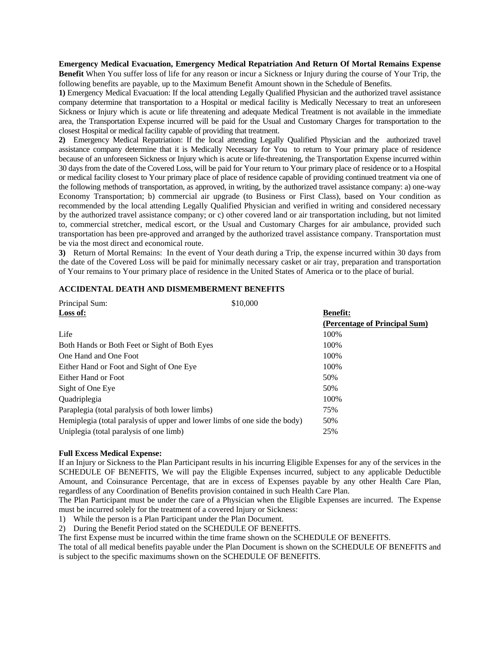**Emergency Medical Evacuation, Emergency Medical Repatriation And Return Of Mortal Remains Expense Benefit** When You suffer loss of life for any reason or incur a Sickness or Injury during the course of Your Trip, the following benefits are payable, up to the Maximum Benefit Amount shown in the Schedule of Benefits.

**1)** Emergency Medical Evacuation: If the local attending Legally Qualified Physician and the authorized travel assistance company determine that transportation to a Hospital or medical facility is Medically Necessary to treat an unforeseen Sickness or Injury which is acute or life threatening and adequate Medical Treatment is not available in the immediate area, the Transportation Expense incurred will be paid for the Usual and Customary Charges for transportation to the closest Hospital or medical facility capable of providing that treatment.

**2)** Emergency Medical Repatriation: If the local attending Legally Qualified Physician and the authorized travel assistance company determine that it is Medically Necessary for You to return to Your primary place of residence because of an unforeseen Sickness or Injury which is acute or life-threatening, the Transportation Expense incurred within 30 days from the date of the Covered Loss, will be paid for Your return to Your primary place of residence or to a Hospital or medical facility closest to Your primary place of place of residence capable of providing continued treatment via one of the following methods of transportation, as approved, in writing, by the authorized travel assistance company: a) one-way Economy Transportation; b) commercial air upgrade (to Business or First Class), based on Your condition as recommended by the local attending Legally Qualified Physician and verified in writing and considered necessary by the authorized travel assistance company; or c) other covered land or air transportation including, but not limited to, commercial stretcher, medical escort, or the Usual and Customary Charges for air ambulance, provided such transportation has been pre-approved and arranged by the authorized travel assistance company. Transportation must be via the most direct and economical route.

**3)** Return of Mortal Remains: In the event of Your death during a Trip, the expense incurred within 30 days from the date of the Covered Loss will be paid for minimally necessary casket or air tray, preparation and transportation of Your remains to Your primary place of residence in the United States of America or to the place of burial.

### **ACCIDENTAL DEATH AND DISMEMBERMENT BENEFITS**

| Principal Sum:                                                             | \$10,000                      |
|----------------------------------------------------------------------------|-------------------------------|
| Loss of:                                                                   | <b>Benefit:</b>               |
|                                                                            | (Percentage of Principal Sum) |
| Life                                                                       | 100%                          |
| Both Hands or Both Feet or Sight of Both Eyes                              | 100%                          |
| One Hand and One Foot                                                      | 100%                          |
| Either Hand or Foot and Sight of One Eye                                   | 100%                          |
| Either Hand or Foot                                                        | 50%                           |
| Sight of One Eye                                                           | 50%                           |
| Quadriplegia                                                               | 100%                          |
| Paraplegia (total paralysis of both lower limbs)                           | 75%                           |
| Hemiplegia (total paralysis of upper and lower limbs of one side the body) | 50%                           |
| Uniplegia (total paralysis of one limb)                                    | 25%                           |

### **Full Excess Medical Expense:**

If an Injury or Sickness to the Plan Participant results in his incurring Eligible Expenses for any of the services in the SCHEDULE OF BENEFITS, We will pay the Eligible Expenses incurred, subject to any applicable Deductible Amount, and Coinsurance Percentage, that are in excess of Expenses payable by any other Health Care Plan, regardless of any Coordination of Benefits provision contained in such Health Care Plan.

The Plan Participant must be under the care of a Physician when the Eligible Expenses are incurred. The Expense must be incurred solely for the treatment of a covered Injury or Sickness:

1) While the person is a Plan Participant under the Plan Document.

2) During the Benefit Period stated on the SCHEDULE OF BENEFITS.

The first Expense must be incurred within the time frame shown on the SCHEDULE OF BENEFITS.

The total of all medical benefits payable under the Plan Document is shown on the SCHEDULE OF BENEFITS and is subject to the specific maximums shown on the SCHEDULE OF BENEFITS.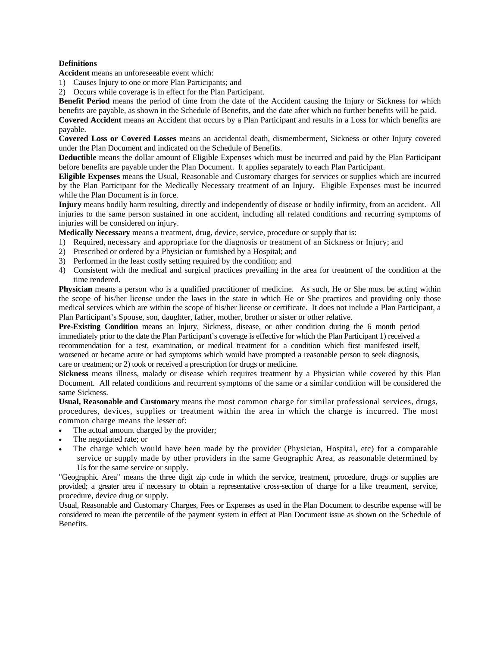# **Definitions**

**Accident** means an unforeseeable event which:

1) Causes Injury to one or more Plan Participants; and

2) Occurs while coverage is in effect for the Plan Participant.

**Benefit Period** means the period of time from the date of the Accident causing the Injury or Sickness for which benefits are payable, as shown in the Schedule of Benefits, and the date after which no further benefits will be paid.

**Covered Accident** means an Accident that occurs by a Plan Participant and results in a Loss for which benefits are payable.

**Covered Loss or Covered Losses** means an accidental death, dismemberment, Sickness or other Injury covered under the Plan Document and indicated on the Schedule of Benefits.

**Deductible** means the dollar amount of Eligible Expenses which must be incurred and paid by the Plan Participant before benefits are payable under the Plan Document. It applies separately to each Plan Participant.

**Eligible Expenses** means the Usual, Reasonable and Customary charges for services or supplies which are incurred by the Plan Participant for the Medically Necessary treatment of an Injury. Eligible Expenses must be incurred while the Plan Document is in force.

**Injury** means bodily harm resulting, directly and independently of disease or bodily infirmity, from an accident. All injuries to the same person sustained in one accident, including all related conditions and recurring symptoms of injuries will be considered on injury.

**Medically Necessary** means a treatment, drug, device, service, procedure or supply that is:

- 1) Required, necessary and appropriate for the diagnosis or treatment of an Sickness or Injury; and
- 2) Prescribed or ordered by a Physician or furnished by a Hospital; and
- 3) Performed in the least costly setting required by the condition; and
- 4) Consistent with the medical and surgical practices prevailing in the area for treatment of the condition at the time rendered.

**Physician** means a person who is a qualified practitioner of medicine. As such, He or She must be acting within the scope of his/her license under the laws in the state in which He or She practices and providing only those medical services which are within the scope of his/her license or certificate. It does not include a Plan Participant, a Plan Participant's Spouse, son, daughter, father, mother, brother or sister or other relative.

**Pre-Existing Condition** means an Injury, Sickness, disease, or other condition during the 6 month period immediately prior to the date the Plan Participant's coverage is effective for which the Plan Participant 1) received a recommendation for a test, examination, or medical treatment for a condition which first manifested itself, worsened or became acute or had symptoms which would have prompted a reasonable person to seek diagnosis, care or treatment; or 2) took or received a prescription for drugs or medicine.

**Sickness** means illness, malady or disease which requires treatment by a Physician while covered by this Plan Document. All related conditions and recurrent symptoms of the same or a similar condition will be considered the same Sickness.

**Usual, Reasonable and Customary** means the most common charge for similar professional services, drugs, procedures, devices, supplies or treatment within the area in which the charge is incurred. The most common charge means the lesser of:

- The actual amount charged by the provider;
- The negotiated rate; or
- The charge which would have been made by the provider (Physician, Hospital, etc) for a comparable service or supply made by other providers in the same Geographic Area, as reasonable determined by Us for the same service or supply.

"Geographic Area" means the three digit zip code in which the service, treatment, procedure, drugs or supplies are provided; a greater area if necessary to obtain a representative cross-section of charge for a like treatment, service, procedure, device drug or supply.

Usual, Reasonable and Customary Charges, Fees or Expenses as used in the Plan Document to describe expense will be considered to mean the percentile of the payment system in effect at Plan Document issue as shown on the Schedule of Benefits.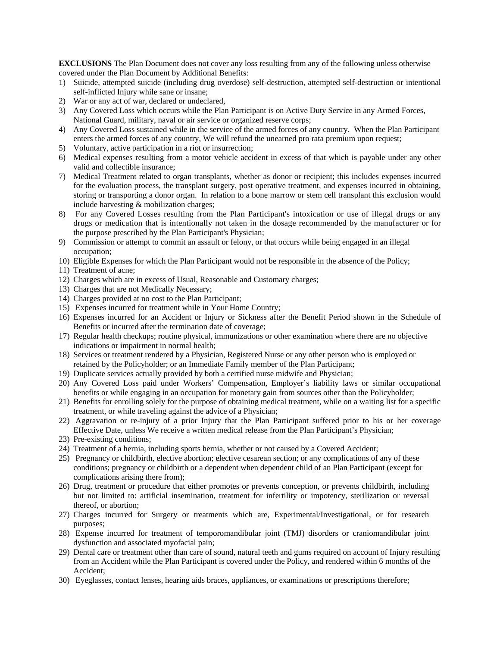**EXCLUSIONS** The Plan Document does not cover any loss resulting from any of the following unless otherwise covered under the Plan Document by Additional Benefits:

- 1) Suicide, attempted suicide (including drug overdose) self-destruction, attempted self-destruction or intentional self-inflicted Injury while sane or insane;
- 2) War or any act of war, declared or undeclared,
- 3) Any Covered Loss which occurs while the Plan Participant is on Active Duty Service in any Armed Forces, National Guard, military, naval or air service or organized reserve corps;
- 4) Any Covered Loss sustained while in the service of the armed forces of any country. When the Plan Participant enters the armed forces of any country, We will refund the unearned pro rata premium upon request;
- 5) Voluntary, active participation in a riot or insurrection;
- 6) Medical expenses resulting from a motor vehicle accident in excess of that which is payable under any other valid and collectible insurance;
- 7) Medical Treatment related to organ transplants, whether as donor or recipient; this includes expenses incurred for the evaluation process, the transplant surgery, post operative treatment, and expenses incurred in obtaining, storing or transporting a donor organ. In relation to a bone marrow or stem cell transplant this exclusion would include harvesting & mobilization charges;
- 8) For any Covered Losses resulting from the Plan Participant's intoxication or use of illegal drugs or any drugs or medication that is intentionally not taken in the dosage recommended by the manufacturer or for the purpose prescribed by the Plan Participant's Physician;
- 9) Commission or attempt to commit an assault or felony, or that occurs while being engaged in an illegal occupation;
- 10) Eligible Expenses for which the Plan Participant would not be responsible in the absence of the Policy;
- 11) Treatment of acne;
- 12) Charges which are in excess of Usual, Reasonable and Customary charges;
- 13) Charges that are not Medically Necessary;
- 14) Charges provided at no cost to the Plan Participant;
- 15) Expenses incurred for treatment while in Your Home Country;
- 16) Expenses incurred for an Accident or Injury or Sickness after the Benefit Period shown in the Schedule of Benefits or incurred after the termination date of coverage;
- 17) Regular health checkups; routine physical, immunizations or other examination where there are no objective indications or impairment in normal health;
- 18) Services or treatment rendered by a Physician, Registered Nurse or any other person who is employed or retained by the Policyholder; or an Immediate Family member of the Plan Participant;
- 19) Duplicate services actually provided by both a certified nurse midwife and Physician;
- 20) Any Covered Loss paid under Workers' Compensation, Employer's liability laws or similar occupational benefits or while engaging in an occupation for monetary gain from sources other than the Policyholder;
- 21) Benefits for enrolling solely for the purpose of obtaining medical treatment, while on a waiting list for a specific treatment, or while traveling against the advice of a Physician;
- 22) Aggravation or re-injury of a prior Injury that the Plan Participant suffered prior to his or her coverage Effective Date, unless We receive a written medical release from the Plan Participant's Physician;
- 23) Pre-existing conditions;
- 24) Treatment of a hernia, including sports hernia, whether or not caused by a Covered Accident;
- 25) Pregnancy or childbirth, elective abortion; elective cesarean section; or any complications of any of these conditions; pregnancy or childbirth or a dependent when dependent child of an Plan Participant (except for complications arising there from);
- 26) Drug, treatment or procedure that either promotes or prevents conception, or prevents childbirth, including but not limited to: artificial insemination, treatment for infertility or impotency, sterilization or reversal thereof, or abortion;
- 27) Charges incurred for Surgery or treatments which are, Experimental/Investigational, or for research purposes;
- 28) Expense incurred for treatment of temporomandibular joint (TMJ) disorders or craniomandibular joint dysfunction and associated myofacial pain;
- 29) Dental care or treatment other than care of sound, natural teeth and gums required on account of Injury resulting from an Accident while the Plan Participant is covered under the Policy, and rendered within 6 months of the Accident;
- 30) Eyeglasses, contact lenses, hearing aids braces, appliances, or examinations or prescriptions therefore;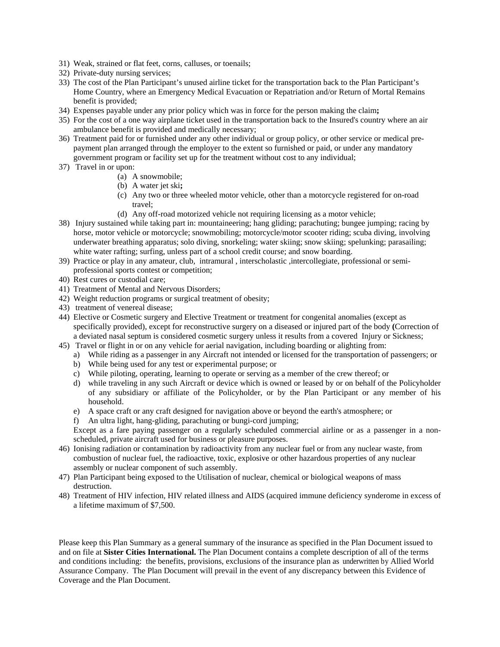- 31) Weak, strained or flat feet, corns, calluses, or toenails;
- 32) Private-duty nursing services;
- 33) The cost of the Plan Participant's unused airline ticket for the transportation back to the Plan Participant's Home Country, where an Emergency Medical Evacuation or Repatriation and/or Return of Mortal Remains benefit is provided;
- 34) Expenses payable under any prior policy which was in force for the person making the claim**;**
- 35) For the cost of a one way airplane ticket used in the transportation back to the Insured's country where an air ambulance benefit is provided and medically necessary;
- 36) Treatment paid for or furnished under any other individual or group policy, or other service or medical prepayment plan arranged through the employer to the extent so furnished or paid, or under any mandatory government program or facility set up for the treatment without cost to any individual;
- 37) Travel in or upon:
	- (a) A snowmobile;
	- (b) A water jet ski**;**
	- (c) Any two or three wheeled motor vehicle, other than a motorcycle registered for on-road travel;
	- (d) Any off-road motorized vehicle not requiring licensing as a motor vehicle;
- 38) Injury sustained while taking part in: mountaineering; hang gliding; parachuting; bungee jumping; racing by horse, motor vehicle or motorcycle; snowmobiling; motorcycle/motor scooter riding; scuba diving, involving underwater breathing apparatus; solo diving, snorkeling; water skiing; snow skiing; spelunking; parasailing; white water rafting; surfing, unless part of a school credit course; and snow boarding.
- 39) Practice or play in any amateur, club, intramural , interscholastic ,intercollegiate, professional or semiprofessional sports contest or competition;
- 40) Rest cures or custodial care;
- 41) Treatment of Mental and Nervous Disorders;
- 42) Weight reduction programs or surgical treatment of obesity;
- 43) treatment of venereal disease;
- 44) Elective or Cosmetic surgery and Elective Treatment or treatment for congenital anomalies (except as specifically provided), except for reconstructive surgery on a diseased or injured part of the body **(**Correction of a deviated nasal septum is considered cosmetic surgery unless it results from a covered Injury or Sickness;
- 45) Travel or flight in or on any vehicle for aerial navigation, including boarding or alighting from:
	- a) While riding as a passenger in any Aircraft not intended or licensed for the transportation of passengers; or
	- b) While being used for any test or experimental purpose; or
	- c) While piloting, operating, learning to operate or serving as a member of the crew thereof; or
	- d) while traveling in any such Aircraft or device which is owned or leased by or on behalf of the Policyholder of any subsidiary or affiliate of the Policyholder, or by the Plan Participant or any member of his household.
	- e) A space craft or any craft designed for navigation above or beyond the earth's atmosphere; or
	- f) An ultra light, hang-gliding, parachuting or bungi-cord jumping;

Except as a fare paying passenger on a regularly scheduled commercial airline or as a passenger in a nonscheduled, private aircraft used for business or pleasure purposes.

- 46) Ionising radiation or contamination by radioactivity from any nuclear fuel or from any nuclear waste, from combustion of nuclear fuel, the radioactive, toxic, explosive or other hazardous properties of any nuclear assembly or nuclear component of such assembly.
- 47) Plan Participant being exposed to the Utilisation of nuclear, chemical or biological weapons of mass destruction.
- 48) Treatment of HIV infection, HIV related illness and AIDS (acquired immune deficiency synderome in excess of a lifetime maximum of \$7,500.

Please keep this Plan Summary as a general summary of the insurance as specified in the Plan Document issued to and on file at **Sister Cities International.** The Plan Document contains a complete description of all of the terms and conditions including: the benefits, provisions, exclusions of the insurance plan as underwritten by Allied World Assurance Company. The Plan Document will prevail in the event of any discrepancy between this Evidence of Coverage and the Plan Document.